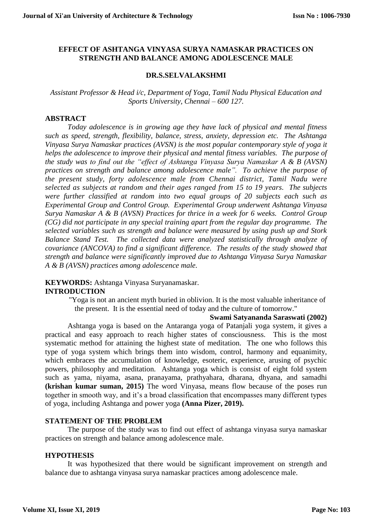### **EFFECT OF ASHTANGA VINYASA SURYA NAMASKAR PRACTICES ON STRENGTH AND BALANCE AMONG ADOLESCENCE MALE**

### **DR.S.SELVALAKSHMI**

*Assistant Professor & Head i/c, Department of Yoga, Tamil Nadu Physical Education and Sports University, Chennai – 600 127.*

### **ABSTRACT**

*Today adolescence is in growing age they have lack of physical and mental fitness such as speed, strength, flexibility, balance, stress, anxiety, depression etc. The Ashtanga Vinyasa Surya Namaskar practices (AVSN) is the most popular contemporary style of yoga it helps the adolescence to improve their physical and mental fitness variables. The purpose of the study was to find out the "effect of Ashtanga Vinyasa Surya Namaskar A & B (AVSN) practices on strength and balance among adolescence male". To achieve the purpose of the present study, forty adolescence male from Chennai district, Tamil Nadu were selected as subjects at random and their ages ranged from 15 to 19 years. The subjects were further classified at random into two equal groups of 20 subjects each such as Experimental Group and Control Group. Experimental Group underwent Ashtanga Vinyasa Surya Namaskar A & B (AVSN) Practices for thrice in a week for 6 weeks. Control Group (CG) did not participate in any special training apart from the regular day programme. The selected variables such as strength and balance were measured by using push up and Stork Balance Stand Test. The collected data were analyzed statistically through analyze of covariance (ANCOVA) to find a significant difference. The results of the study showed that strength and balance were significantly improved due to Ashtanga Vinyasa Surya Namaskar A & B (AVSN) practices among adolescence male.* 

### **KEYWORDS:** Ashtanga Vinyasa Suryanamaskar. **INTRODUCTION**

"Yoga is not an ancient myth buried in oblivion. It is the most valuable inheritance of the present. It is the essential need of today and the culture of tomorrow."

#### **Swami Satyananda Saraswati (2002)**

Ashtanga yoga is based on the Antaranga yoga of Patanjali yoga system, it gives a practical and easy approach to reach higher states of consciousness. This is the most systematic method for attaining the highest state of meditation. The one who follows this type of yoga system which brings them into wisdom, control, harmony and equanimity, which embraces the accumulation of knowledge, esoteric, experience, arusing of psychic powers, philosophy and meditation. Ashtanga yoga which is consist of eight fold system such as yama, niyama, asana, pranayama, prathyahara, dharana, dhyana, and samadhi **(krishan kumar suman, 2015)** The word Vinyasa, means flow because of the poses run together in smooth way, and it's a broad classification that encompasses many different types of yoga, including Ashtanga and power yoga **(Anna Pizer, 2019).**

#### **STATEMENT OF THE PROBLEM**

The purpose of the study was to find out effect of ashtanga vinyasa surya namaskar practices on strength and balance among adolescence male.

### **HYPOTHESIS**

It was hypothesized that there would be significant improvement on strength and balance due to ashtanga vinyasa surya namaskar practices among adolescence male.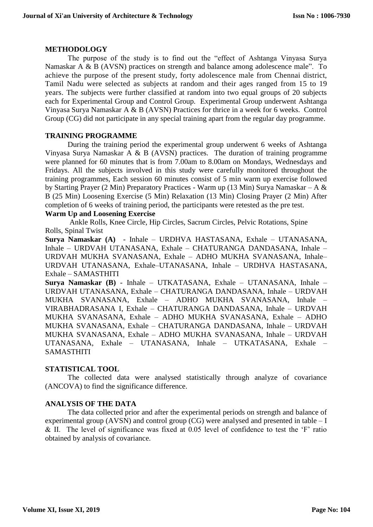#### **METHODOLOGY**

The purpose of the study is to find out the "effect of Ashtanga Vinyasa Surya Namaskar A & B (AVSN) practices on strength and balance among adolescence male". To achieve the purpose of the present study, forty adolescence male from Chennai district, Tamil Nadu were selected as subjects at random and their ages ranged from 15 to 19 years. The subjects were further classified at random into two equal groups of 20 subjects each for Experimental Group and Control Group. Experimental Group underwent Ashtanga Vinyasa Surya Namaskar A & B (AVSN) Practices for thrice in a week for 6 weeks. Control Group (CG) did not participate in any special training apart from the regular day programme.

### **TRAINING PROGRAMME**

During the training period the experimental group underwent 6 weeks of Ashtanga Vinyasa Surya Namaskar A & B (AVSN) practices. The duration of training programme were planned for 60 minutes that is from 7.00am to 8.00am on Mondays, Wednesdays and Fridays. All the subjects involved in this study were carefully monitored throughout the training programmes, Each session 60 minutes consist of 5 min warm up exercise followed by Starting Prayer (2 Min) Preparatory Practices - Warm up (13 Min) Surya Namaskar – A & B (25 Min) Loosening Exercise (5 Min) Relaxation (13 Min) Closing Prayer (2 Min) After completion of 6 weeks of training period, the participants were retested as the pre test.

## **Warm Up and Loosening Exercise**

Ankle Rolls, Knee Circle, Hip Circles, Sacrum Circles, Pelvic Rotations, Spine Rolls, Spinal Twist

**Surya Namaskar (A)** - Inhale – URDHVA HASTASANA, Exhale – UTANASANA, Inhale – URDVAH UTANASANA, Exhale – CHATURANGA DANDASANA, Inhale – URDVAH MUKHA SVANASANA, Exhale – ADHO MUKHA SVANASANA, Inhale– URDVAH UTANASANA, Exhale–UTANASANA, Inhale – URDHVA HASTASANA, Exhale – SAMASTHITI

**Surya Namaskar (B)** - Inhale – UTKATASANA, Exhale – UTANASANA, Inhale – URDVAH UTANASANA, Exhale – CHATURANGA DANDASANA, Inhale – URDVAH MUKHA SVANASANA, Exhale – ADHO MUKHA SVANASANA, Inhale – VIRABHADRASANA I, Exhale – CHATURANGA DANDASANA, Inhale – URDVAH MUKHA SVANASANA, Exhale – ADHO MUKHA SVANASANA, Exhale – ADHO MUKHA SVANASANA, Exhale – CHATURANGA DANDASANA, Inhale – URDVAH MUKHA SVANASANA, Exhale – ADHO MUKHA SVANASANA, Inhale – URDVAH UTANASANA, Exhale – UTANASANA, Inhale – UTKATASANA, Exhale – SAMASTHITI

### **STATISTICAL TOOL**

The collected data were analysed statistically through analyze of covariance (ANCOVA) to find the significance difference.

### **ANALYSIS OF THE DATA**

The data collected prior and after the experimental periods on strength and balance of experimental group (AVSN) and control group (CG) were analysed and presented in table  $- I$ & II. The level of significance was fixed at 0.05 level of confidence to test the 'F' ratio obtained by analysis of covariance.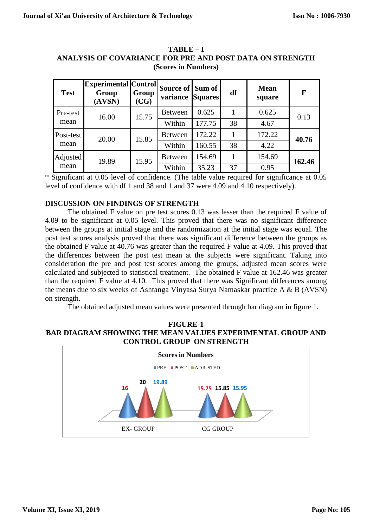| <b>Test</b>       | <b>Experimental Control</b><br>Group<br>(AVSN) | Group<br>(CG) | Source of Sum of<br>variance | <b>Squares</b> | df | <b>Mean</b><br>square | $\bf{F}$ |
|-------------------|------------------------------------------------|---------------|------------------------------|----------------|----|-----------------------|----------|
| Pre-test          | 16.00                                          | 15.75         | <b>Between</b>               | 0.625          |    | 0.625                 | 0.13     |
| mean              |                                                |               | Within                       | 177.75         | 38 | 4.67                  |          |
| Post-test<br>mean | 20.00                                          | 15.85         | <b>Between</b>               | 172.22         |    | 172.22                | 40.76    |
|                   |                                                |               | Within                       | 160.55         | 38 | 4.22                  |          |
| Adjusted<br>mean  | 19.89                                          | 15.95         | <b>Between</b>               | 154.69         |    | 154.69                | 162.46   |
|                   |                                                |               | Within                       | 35.23          | 37 | 0.95                  |          |

**TABLE – I ANALYSIS OF COVARIANCE FOR PRE AND POST DATA ON STRENGTH (Scores in Numbers)**

\* Significant at 0.05 level of confidence. (The table value required for significance at 0.05 level of confidence with df 1 and 38 and 1 and 37 were 4.09 and 4.10 respectively).

# **DISCUSSION ON FINDINGS OF STRENGTH**

The obtained F value on pre test scores 0.13 was lesser than the required F value of 4.09 to be significant at 0.05 level. This proved that there was no significant difference between the groups at initial stage and the randomization at the initial stage was equal. The post test scores analysis proved that there was significant difference between the groups as the obtained F value at 40.76 was greater than the required F value at 4.09. This proved that the differences between the post test mean at the subjects were significant. Taking into consideration the pre and post test scores among the groups, adjusted mean scores were calculated and subjected to statistical treatment. The obtained F value at 162.46 was greater than the required F value at 4.10. This proved that there was Significant differences among the means due to six weeks of Ashtanga Vinyasa Surya Namaskar practice A & B (AVSN) on strength.

The obtained adjusted mean values were presented through bar diagram in figure 1.



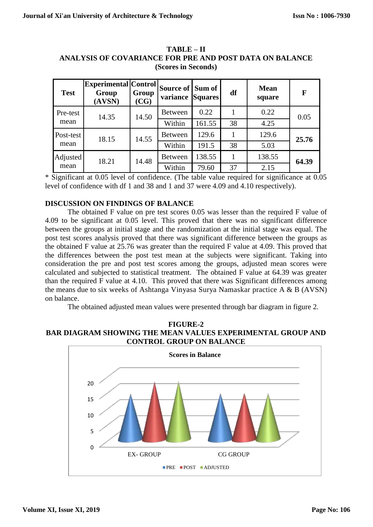| <b>Test</b>             | <b>Experimental</b> Control<br>Group<br>(AVSN) | Group<br>(CG) | Source of Sum of<br>variance | <b>Squares</b> | df | <b>Mean</b><br>square | $\mathbf F$ |
|-------------------------|------------------------------------------------|---------------|------------------------------|----------------|----|-----------------------|-------------|
| Pre-test                | 14.35                                          | 14.50         | <b>Between</b>               | 0.22           |    | 0.22                  | 0.05        |
| mean                    |                                                |               | Within                       | 161.55         | 38 | 4.25                  |             |
| Post-test<br>mean       | 18.15                                          | 14.55         | <b>Between</b>               | 129.6          |    | 129.6                 | 25.76       |
|                         |                                                |               | Within                       | 191.5          | 38 | 5.03                  |             |
| <b>Adjusted</b><br>mean | 18.21                                          | 14.48         | <b>Between</b>               | 138.55         |    | 138.55                | 64.39       |
|                         |                                                |               | Within                       | 79.60          | 37 | 2.15                  |             |

**TABLE – II ANALYSIS OF COVARIANCE FOR PRE AND POST DATA ON BALANCE (Scores in Seconds)**

\* Significant at 0.05 level of confidence. (The table value required for significance at 0.05 level of confidence with df 1 and 38 and 1 and 37 were 4.09 and 4.10 respectively).

# **DISCUSSION ON FINDINGS OF BALANCE**

The obtained F value on pre test scores 0.05 was lesser than the required F value of 4.09 to be significant at 0.05 level. This proved that there was no significant difference between the groups at initial stage and the randomization at the initial stage was equal. The post test scores analysis proved that there was significant difference between the groups as the obtained F value at 25.76 was greater than the required F value at 4.09. This proved that the differences between the post test mean at the subjects were significant. Taking into consideration the pre and post test scores among the groups, adjusted mean scores were calculated and subjected to statistical treatment. The obtained F value at 64.39 was greater than the required F value at 4.10. This proved that there was Significant differences among the means due to six weeks of Ashtanga Vinyasa Surya Namaskar practice A & B (AVSN) on balance.

The obtained adjusted mean values were presented through bar diagram in figure 2.